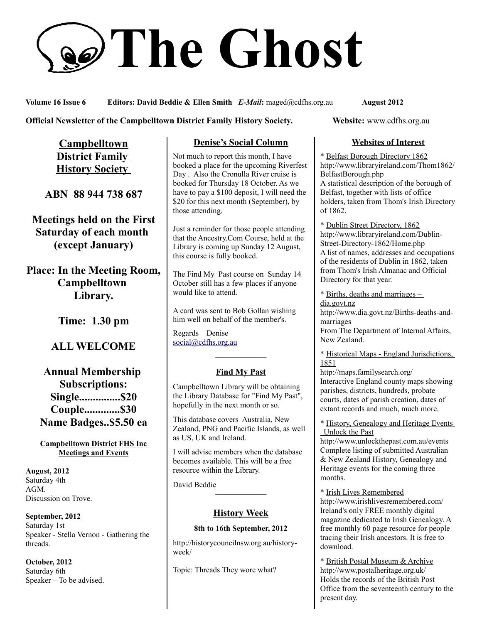# **The Ghost**

**Volume 16 Issue 6 Editors: David Beddie & Ellen Smith** *E-Mail***:** maged@cdfhs.org.au **August 2012**

### **Official Newsletter of the Campbelltown District Family History Society. Website: www.cdfhs.org.au**

**Campbelltown District Family History Society** 

**ABN 88 944 738 687**

**Meetings held on the First Saturday of each month (except January)**

**Place: In the Meeting Room, Campbelltown Library.**

**Time: 1.30 pm**

# **ALL WELCOME**

**Annual Membership Subscriptions: Single...............\$20 Couple.............\$30 Name Badges..\$5.50 ea**

**Campbelltown District FHS Inc Meetings and Events**

**August, 2012** Saturday 4th AGM. Discussion on Trove.

**September, 2012** Saturday 1st Speaker - Stella Vernon - Gathering the threads.

**October, 2012** Saturday 6th Speaker – To be advised.

# **Denise's Social Column**

Not much to report this month, I have booked a place for the upcoming Riverfest Day . Also the Cronulla River cruise is booked for Thursday 18 October. As we have to pay a \$100 deposit, I will need the \$20 for this next month (September), by those attending.

Just a reminder for those people attending that the Ancestry.Com Course, held at the Library is coming up Sunday 12 August, this course is fully booked.

The Find My Past course on Sunday 14 October still has a few places if anyone would like to attend.

A card was sent to Bob Gollan wishing him well on behalf of the member's.

Regards Denise [social@cdfhs.org.au](mailto:social@cdfhs.org.au)

# ——————– **Find My Past**

Campbelltown Library will be obtaining the Library Database for "Find My Past", hopefully in the next month or so.

This database covers Australia, New Zealand, PNG and Pacific Islands, as well as US, UK and Ireland.

I will advise members when the database becomes available. This will be a free resource within the Library.

David Beddie

# **History Week**

——————–

#### **8th to 16th September, 2012**

http://historycouncilnsw.org.au/historyweek/

Topic: Threads They wore what?

## **Websites of Interest**

\* Belfast Borough Directory 1862 http://www.libraryireland.com/Thom1862/ BelfastBorough.php A statistical description of the borough of Belfast, together with lists of office holders, taken from Thom's Irish Directory of 1862.

\* Dublin Street Directory, 1862 http://www.libraryireland.com/Dublin-Street-Directory-1862/Home.php A list of names, addresses and occupations of the residents of Dublin in 1862, taken from Thom's Irish Almanac and Official Directory for that year.

\* Births, deaths and marriages – dia.govt.nz http://www.dia.govt.nz/Births-deaths-andmarriages

From The Department of Internal Affairs, New Zealand.

\* Historical Maps - England Jurisdictions, 1851

http://maps.familysearch.org/ Interactive England county maps showing parishes, districts, hundreds, probate courts, dates of parish creation, dates of extant records and much, much more.

\* History, Genealogy and Heritage Events | Unlock the Past

http://www.unlockthepast.com.au/events Complete listing of submitted Australian & New Zealand History, Genealogy and Heritage events for the coming three months.

\* Irish Lives Remembered http://www.irishlivesremembered.com/ Ireland's only FREE monthly digital magazine dedicated to Irish Genealogy. A free monthly 60 page resource for people tracing their Irish ancestors. It is free to download.

\* British Postal Museum & Archive http://www.postalheritage.org.uk/ Holds the records of the British Post Office from the seventeenth century to the present day.